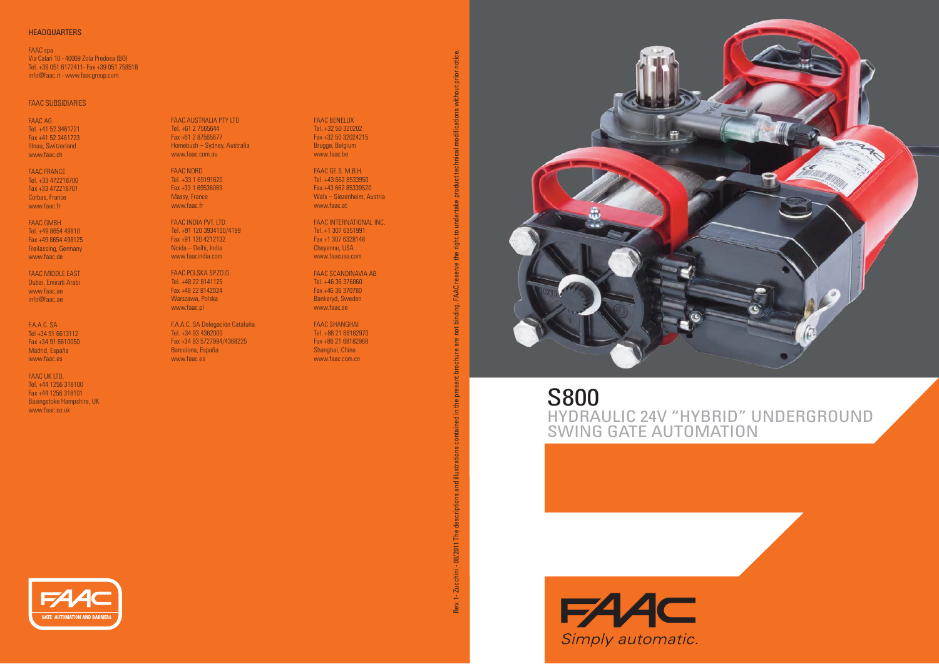## **HEADQUARTERS**

FAAC spa Via Calari 10 - 40069 Zola Predosa (BO) Tel. +39 051 6172411- Fax +39 051 758518 info@faac.it - www.faacgroup.com

## FAAC SUBSIDIARIES

FAAC AG Tel. +41 52 3461721 Fax +41 52 3461723 Illnau, Switzerland www.faac.ch

FAAC FRANCE Tel. +33 472218700 Fax +33 472218701 Corbas, France www.faac.fr

FAAC GMBHTel. +49 8654 49810 Fax +49 8654 498125 Freilassing, Germany www.faac.de

FAAC MIDDLE EAST Dubai, Emirati Arabi www.faac.aeinfo@faac.ae

F.A.A.C. SA Tel +34 91 6613112 Fax +34 91 6610050 Madrid, España www.faac.es

FAAC UK LTD. Tel. +44 1256 318100 Fax +44 1256 318101 Basingstoke Hampshire, UK www.faac.co.uk

FAAC AUSTRALIA PTY LTD Tel. +61 2 7565644Fax +61 2 87565677 Homebush – Sydney, Australia www.faac.com.au

FAAC NORD Tel. +33 1 69191620 Fax +33 1 69536069Massy, France www.faac.fr

FAAC INDIA PVT. LTD Tel. +91 120 3934100/4199 Fax +91 120 4212132 Noida – Delhi, India www.faacindia.com

FAAC POLSKA SP.ZO.O. Tel. +48 22 8141125Fax +48 22 8142024 Warszawa, Polska www.faac.pl

F.A.A.C. SA Delegación Cataluña Tel. +34 93 4362000 Fax +34 93 5727994/4368225 Barcelona, España www.faac.es

FAAC BENELUX Tel. +32 50 320202 Fax +32 50 32024215 Brugge, Belgium www.faac.be

FAAC GE.S. M.B.H. Tel. +43 662 8533950 Fax +43 662 85339520Wals – Siezenheim, Austria www.faac.at

FAAC INTERNATIONAL INC.Tel. +1 307 6351991 Fax +1 307 6328148Cheyenne, USA www.faacusa.com

FAAC SCANDINAVIA AB Tel. +46 36 376860Fax +46 36 370780 Bankeryd, Sweden www.faac.se

Rev. 1- Zucchini - 08/2011 The descriptions and illustrations contained in the present brochure are not binding. FAAC reserve the right to undertake product technical modifi cations without prior notice.

08/2011 The

1-Zucchini -

Rev.

**TAAC** igi

FAAC SHANGHAITel. +86 21 68182970 Fax +86 21 68182968 Shanghai, China www.faac.com.cn



S800 HYDRAULIC 24V "HYBRID" UNDERGROUND SWING GATE AUTOMATION

**FAAC** Simply automatic.